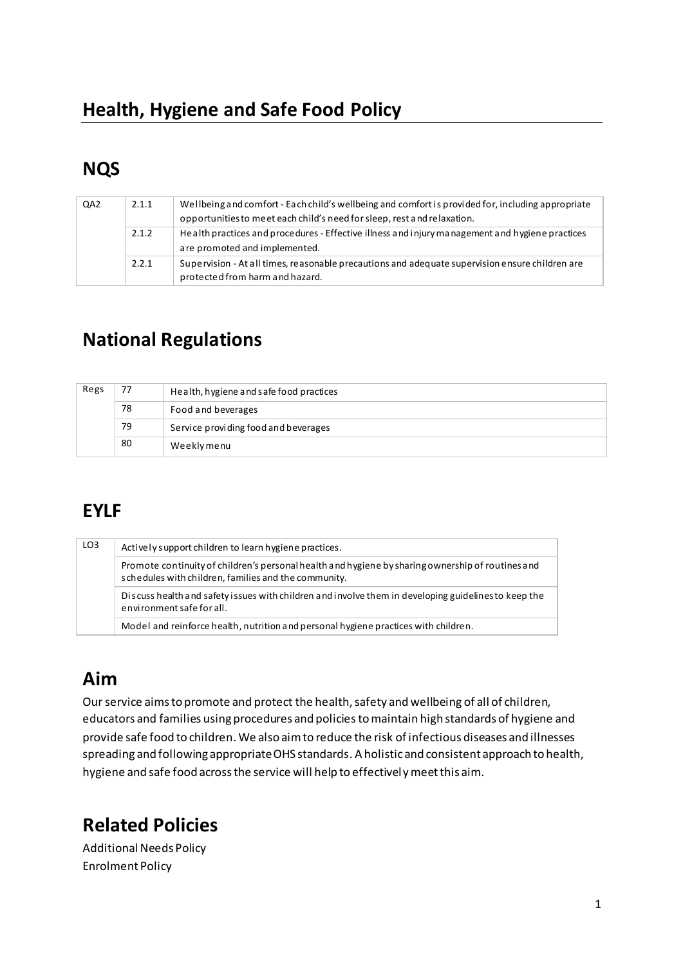## **NQS**

| QA2 | 2.1.1 | Wellbeing and comfort - Each child's wellbeing and comfort is provided for, including appropriate<br>opportunities to meet each child's need for sleep, rest and relaxation. |  |
|-----|-------|------------------------------------------------------------------------------------------------------------------------------------------------------------------------------|--|
|     | 2.1.2 | Health practices and procedures - Effective illness and injury management and hygiene practices<br>are promoted and implemented.                                             |  |
|     | 2.2.1 | Supervision - At all times, reasonable precautions and adequate supervision ensure children are<br>protected from harm and hazard.                                           |  |

### **National Regulations**

| Regs | 77 | Health, hygiene and safe food practices |
|------|----|-----------------------------------------|
|      | 78 | Food and beverages                      |
|      | 79 | Service providing food and beverages    |
|      | 80 | Weeklymenu                              |

# **EYLF**

| LO <sub>3</sub> | Actively support children to learn hygiene practices.                                                                                                     |  |  |
|-----------------|-----------------------------------------------------------------------------------------------------------------------------------------------------------|--|--|
|                 | Promote continuity of children's personal health and hygiene by sharing ownership of routines and<br>schedules with children, families and the community. |  |  |
|                 | Discuss health and safety issues with children and involve them in developing guidelines to keep the<br>environment safe for all.                         |  |  |
|                 | Model and reinforce health, nutrition and personal hygiene practices with children.                                                                       |  |  |

## **Aim**

Our service aims to promote and protect the health, safety and wellbeing of all of children, educators and families using procedures and policies to maintain high standards of hygiene and provide safe food to children. We also aim to reduce the risk of infectious diseases and illnesses spreading and following appropriate OHS standards. A holistic and consistent approach to health, hygiene and safe food across the service will help to effectivel y meet this aim.

### **Related Policies**

Additional Needs Policy Enrolment Policy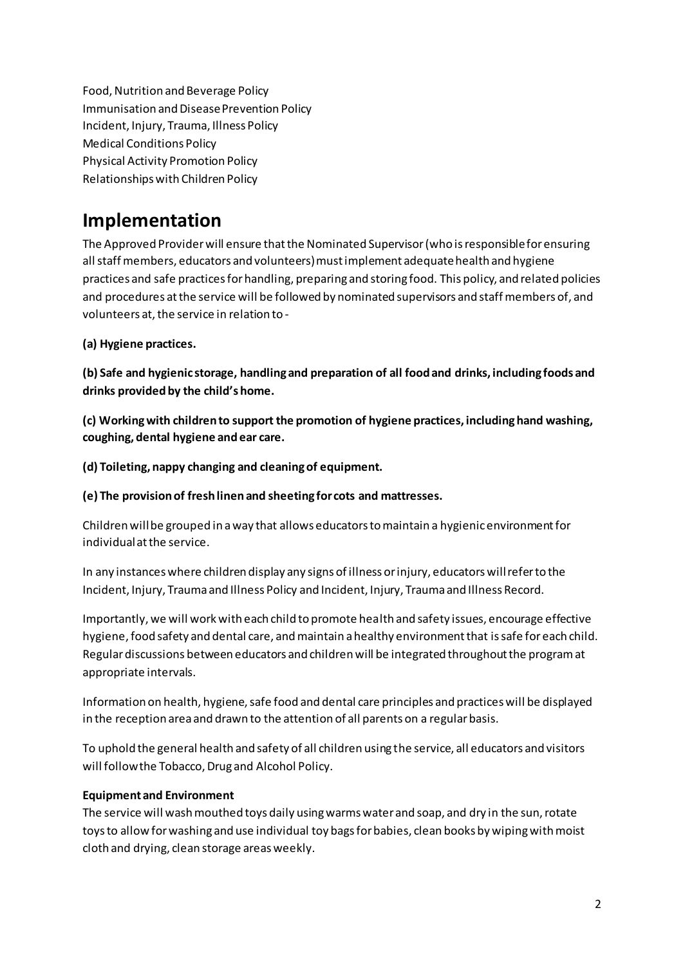Food, Nutrition and Beverage Policy Immunisation and Disease Prevention Policy Incident, Injury, Trauma, Illness Policy Medical Conditions Policy Physical Activity Promotion Policy Relationships with Children Policy

### **Implementation**

The Approved Provider will ensure that the Nominated Supervisor (who is responsible for ensuring all staff members, educators and volunteers) must implement adequate health and hygiene practices and safe practices for handling, preparing and storing food. This policy, and related policies and procedures at the service will be followed by nominated supervisors and staff members of, and volunteers at, the service in relation to -

### **(a) Hygiene practices.**

**(b) Safe and hygienic storage, handling and preparation of all food and drinks, including foods and**  drinks provided by the child's home.

**(c) Working with children to support the promotion of hygiene practices, including hand washing, coughing, dental hygiene and ear care.** 

**(d) Toileting, nappy changing and cleaning of equipment.** 

**(e) The provision of fresh linen and sheeting for cots and mattresses.** 

Children will be grouped in a way that allows educators to maintain a hygienic environment for individual at the service.

In any instances where children display any signs of illness or injury, educators will refer to the Incident, Injury, Trauma and Illness Policy and Incident, Injury, Trauma and Illness Record.

Importantly, we will work with each child to promote health and safety issues, encourage effective hygiene, food safety and dental care, and maintain a healthy environment that is safe for each child. Regular discussions between educators and children will be integrated throughout the program at appropriate intervals.

Information on health, hygiene, safe food and dental care principles and practices will be displayed in the reception area and drawn to the attention of all parents on a regular basis.

To uphold the general health and safety of all children using the service, all educators and visitors will follow the Tobacco, Drug and Alcohol Policy.

### **Equipment and Environment**

The service will wash mouthed toys daily using warms water and soap, and dry in the sun, rotate toys to allow for washing and use individual toy bags for babies, clean books by wiping with moist cloth and drying, clean storage areas weekly.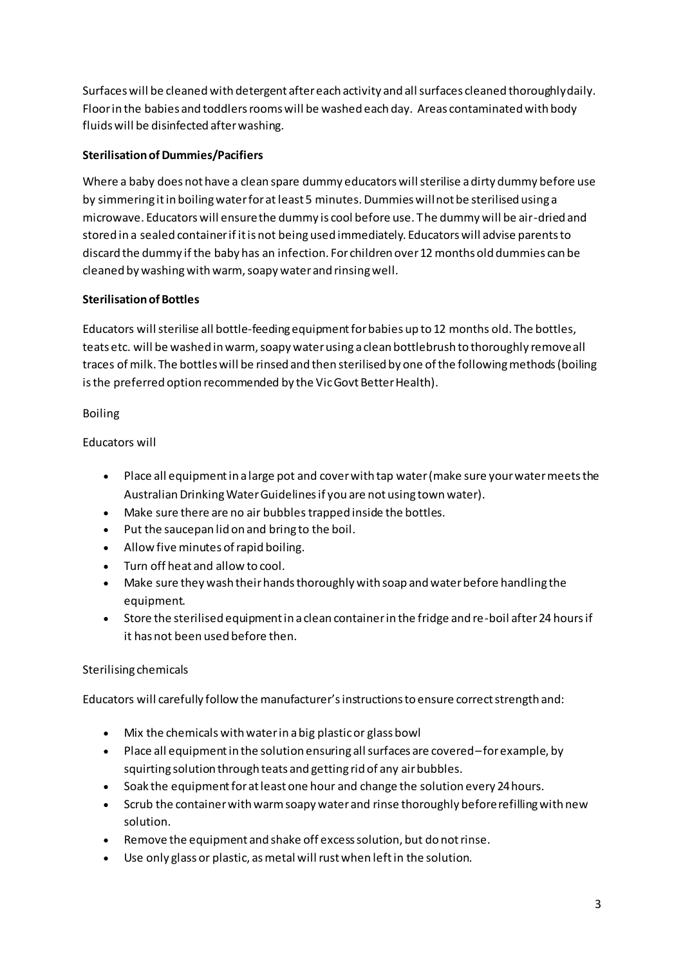Surfaces will be cleaned with detergent after each activity and all surfaces cleaned thoroughly daily. Floor in the babies and toddlers rooms will be washed each day. Areas contaminated with body fluids will be disinfected after washing.

### **Sterilisation of Dummies/Pacifiers**

Where a baby does not have a clean spare dummy educators will sterilise a dirty dummy before use by simmering it in boiling water for at least 5 minutes. Dummies will not be sterilised using a microwave. Educators will ensure the dummy is cool before use. T he dummy will be air-dried and stored in a sealed container if it is not being used immediately. Educators will advise parents to discard the dummy if the baby has an infection. For children over 12 months old dummies can be cleaned by washing with warm, soapy water and rinsing well.

### **Sterilisation of Bottles**

Educators will sterilise all bottle-feeding equipment for babies up to 12 months old. The bottles, teats etc. will be washed in warm, soapy water using a clean bottlebrush to thoroughly remove all traces of milk. The bottles will be rinsed and then sterilised by one of the following methods (boiling is the preferred option recommended by the Vic Govt Better Health).

### Boiling

Educators will

- Place all equipment in a large pot and cover with tap water (make sure your water meets the Australian Drinking Water Guidelines if you are not using town water).
- Make sure there are no air bubbles trapped inside the bottles.
- Put the saucepan lid on and bring to the boil.
- Allow five minutes of rapid boiling.
- Turn off heat and allow to cool.
- Make sure they wash their hands thoroughly with soap and water before handling the equipment.
- Store the sterilised equipment in a clean container in the fridge and re-boil after 24 hours if it has not been used before then.

### Sterilising chemicals

Educators will carefully follow the manufacturer's instructions to ensure correct strength and:

- Mix the chemicals with water in a big plastic or glass bowl
- Place all equipment in the solution ensuring all surfaces are covered– for example, by squirting solution through teats and getting rid of any air bubbles.
- Soak the equipment for at least one hour and change the solution every 24 hours.
- Scrub the container with warm soapy water and rinse thoroughly before refilling with new solution.
- Remove the equipment and shake off excess solution, but do not rinse.
- Use only glass or plastic, as metal will rust when left in the solution.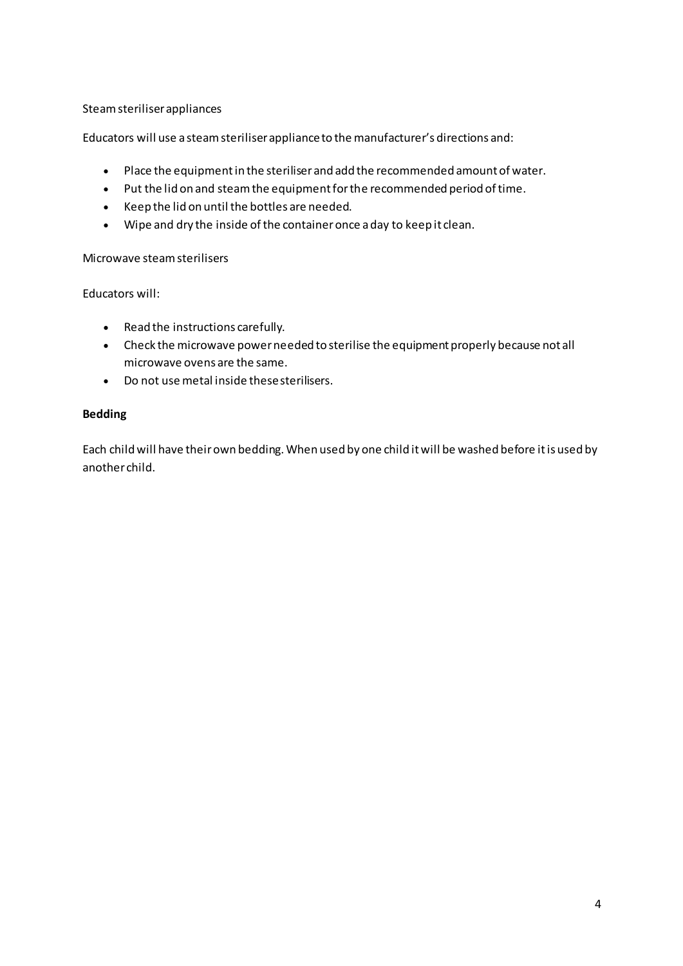Steam steriliser appliances

Educators will use a steam steriliser appliance to the manufacturer's directions and:

- Place the equipment in the steriliser and add the recommended amount of water.
- Put the lid on and steam the equipment for the recommended period of time.
- Keep the lid on until the bottles are needed.
- Wipe and dry the inside of the container once a day to keep it clean.

Microwave steam sterilisers

Educators will:

- Read the instructions carefully.
- Check the microwave power needed to sterilise the equipment properly because not all microwave ovens are the same.
- Do not use metal inside these sterilisers.

#### **Bedding**

Each child will have their own bedding. When used by one child it will be washed before it is used by another child.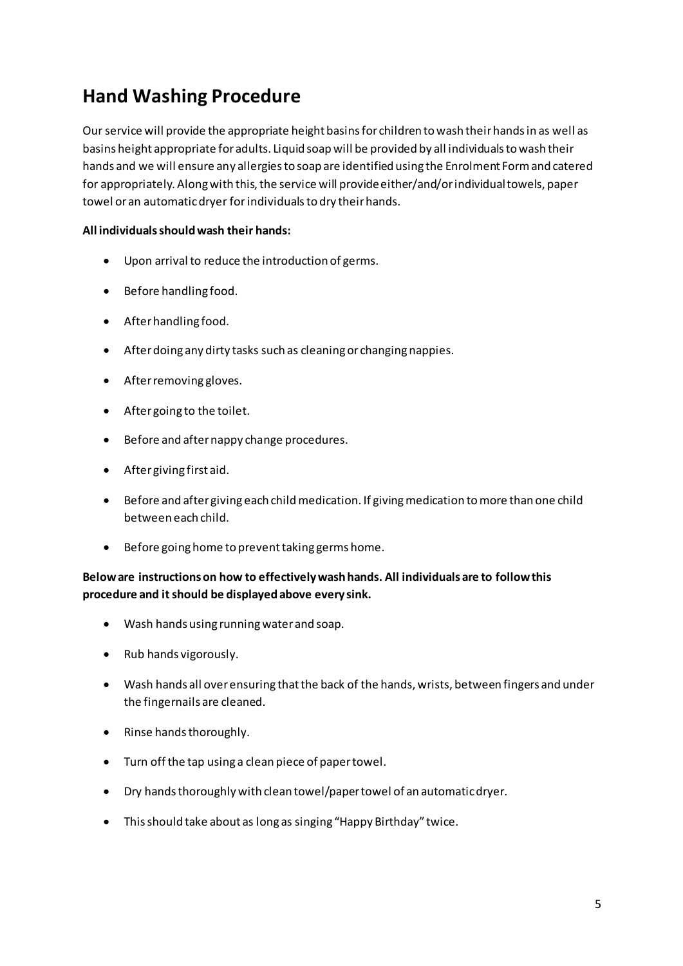### **Hand Washing Procedure**

Our service will provide the appropriate height basins for children to wash their hands in as well as basins height appropriate for adults. Liquid soap will be provided by all individuals to wash their hands and we will ensure any allergies to soap are identified using the Enrolment Form and catered for appropriately. Along with this, the service will provide either/and/or individual towels, paper towel or an automatic dryer for individuals to dry their hands.

#### **All individuals should wash their hands:**

- Upon arrival to reduce the introduction of germs.
- Before handling food.
- After handling food.
- After doing any dirty tasks such as cleaning or changing nappies.
- After removing gloves.
- After going to the toilet.
- Before and after nappy change procedures.
- After giving first aid.
- Before and after giving each child medication. If giving medication to more than one child between each child.
- Before going home to prevent taking germs home.

### **Below are instructions on how to effectively wash hands. All individuals are to follow this procedure and it should be displayed above every sink.**

- Wash hands using running water and soap.
- Rub hands vigorously.
- Wash hands all over ensuring that the back of the hands, wrists, between fingers and under the fingernails are cleaned.
- Rinse hands thoroughly.
- Turn off the tap using a clean piece of paper towel.
- Dry hands thoroughly with clean towel/paper towel of an automatic dryer.
- This should take about as long as singing "Happy Birthday" twice.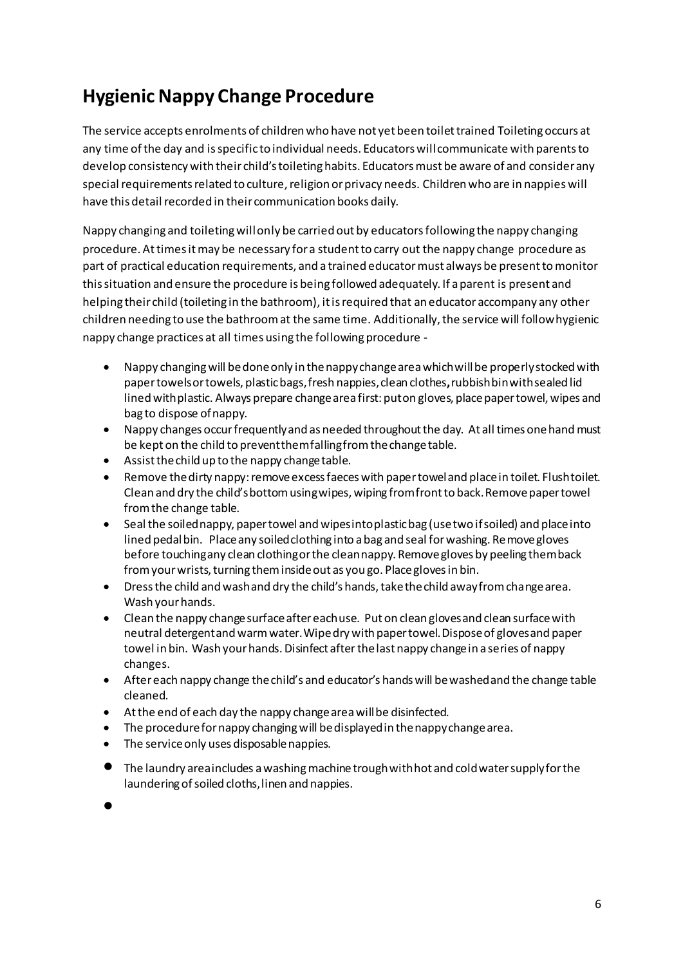## **Hygienic Nappy Change Procedure**

The service accepts enrolments of children who have not yet been toilet trained Toileting occurs at any time of the day and is specific to individual needs. Educators will communicate with parents to develop consistency with their child's toileting habits. Educators must be aware of and consider any special requirements related to culture, religion or privacy needs. Children who are in nappies will have this detail recorded in their communication books daily.

Nappy changing and toileting will only be carried out by educators following the nappy changing procedure. At times it may be necessary for a student to carry out the nappy change procedure as part of practical education requirements, and a trained educator must always be present to monitor this situation and ensure the procedure is being followed adequately. If a parent is present and helping their child (toileting in the bathroom), it is required that an educator accompany any other children needing to use the bathroom at the same time. Additionally, the service will follow hygienic nappy change practices at all times using the following procedure -

- Nappy changing will be done only in the nappy change area which will be properly stocked with paper towels or towels, plastic bags, fresh nappies, clean clothes**,** rubbish bin with sealed lid lined with plastic. Always prepare change area first: put on gloves, place paper towel, wipes and bag to dispose of nappy.
- Nappy changes occur frequently and as needed throughout the day. At all times one hand must be kept on the child to prevent them falling from the change table.
- Assist the child up to the nappy change table.
- Remove the dirty nappy: remove excess faeces with paper towel and place in toilet. Flush toilet. Clean and dry the child's bottom using wipes, wiping from front to back. Remove paper towel from the change table.
- Seal the soiled nappy, paper towel and wipes into plastic bag (use two if soiled) and place into lined pedal bin. Place any soiled clothing into a bag and seal for washing. Remove gloves before touching any clean clothing or the clean nappy. Remove gloves by peeling them back from your wrists, turning them inside out as you go. Place gloves in bin.
- Dress the child and wash and dry the child's hands, take the child away from change area. Wash your hands.
- Clean the nappy change surface after each use. Put on clean gloves and clean surface with neutral detergent and warm water. Wipe dry with paper towel. Dispose of gloves and paper towel in bin. Wash your hands. Disinfect after the last nappy change in a series of nappy changes.
- After each nappy change the child's and educator's hands will be washed and the change table cleaned.
- At the end of each day the nappy change area will be disinfected.
- The procedure for nappy changing will be displayed in the nappy change area.
- The service only uses disposable nappies.
- The laundry area includes a washing machine trough with hot and cold water supply for the laundering of soiled cloths, linen and nappies.
- •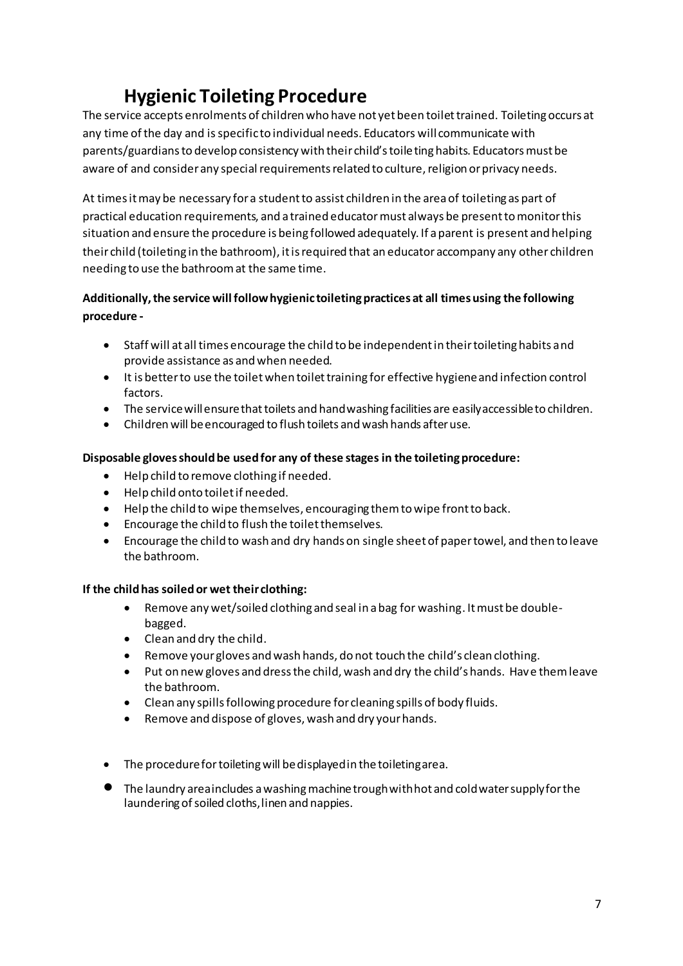## **Hygienic Toileting Procedure**

The service accepts enrolments of children who have not yet been toilet trained. Toileting occurs at any time of the day and is specific to individual needs. Educators will communicate with parents/guardians to develop consistency with their child's toileting habits. Educators must be aware of and consider any special requirements related to culture, religion or privacy needs.

At times it may be necessary for a student to assist children in the area of toileting as part of practical education requirements, and a trained educator must always be present to monitor this situation and ensure the procedure is being followed adequately. If a parent is present and helping their child (toileting in the bathroom), it is required that an educator accompany any other children needing to use the bathroom at the same time.

### **Additionally, the service will follow hygienic toileting practices at all times using the following procedure -**

- Staff will at all times encourage the child to be independent in their toileting habits and provide assistance as and when needed.
- It is better to use the toilet when toilet training for effective hygiene and infection control factors.
- The service will ensure that toilets and hand washing facilities are easily accessible to children.
- Children will be encouraged to flush toilets and wash hands after use.

### **Disposable gloves should be used for any of these stages in the toileting procedure:**

- Help child to remove clothing if needed.
- Help child onto toilet if needed.
- Help the child to wipe themselves, encouraging them to wipe front to back.
- Encourage the child to flush the toilet themselves.
- Encourage the child to wash and dry hands on single sheet of paper towel, and then to leave the bathroom.

### **If the child has soiled or wet their clothing:**

- Remove any wet/soiled clothing and seal in a bag for washing. It must be doublebagged.
- Clean and dry the child.
- Remove your gloves and wash hands, do not touch the child's clean clothing.
- Put on new gloves and dress the child, wash and dry the child's hands. Have them leave the bathroom.
- Clean any spills following procedure for cleaning spills of body fluids.
- Remove and dispose of gloves, wash and dry your hands.
- The procedure for toileting will be displayed in the toileting area.
- The laundry area includes a washing machine trough with hot and cold water supply for the laundering of soiled cloths, linen and nappies.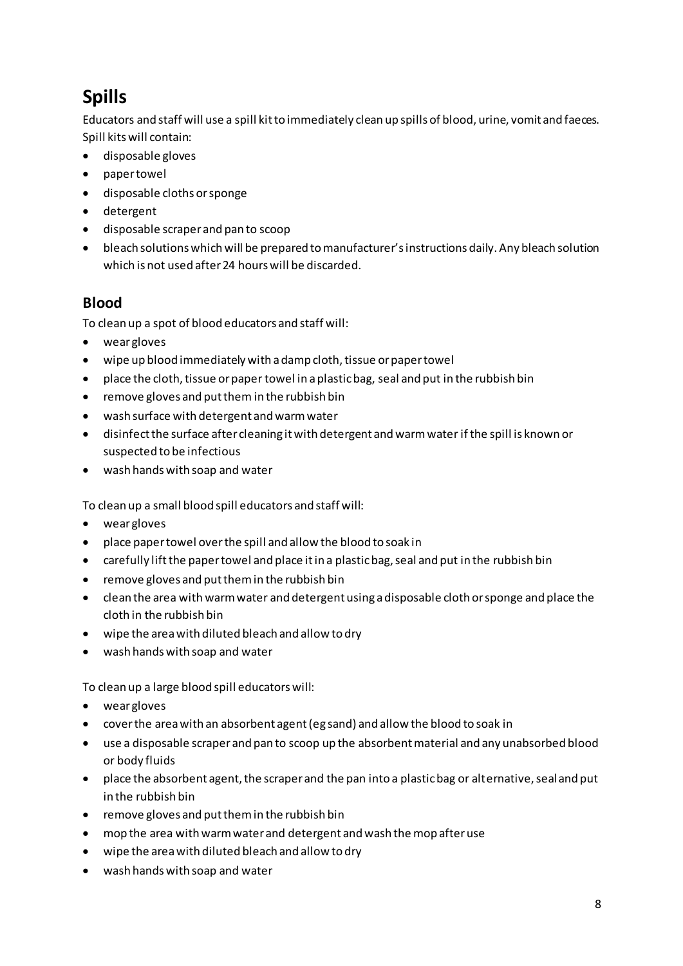# **Spills**

Educators and staff will use a spill kit to immediately clean up spills of blood, urine, vomit and faeces. Spill kits will contain:

- disposable gloves
- paper towel
- disposable cloths or sponge
- detergent
- disposable scraper and pan to scoop
- $\bullet$  bleach solutions which will be prepared to manufacturer's instructions daily. Any bleach solution which is not used after 24 hours will be discarded.

### **Blood**

To clean up a spot of blood educators and staff will:

- wear gloves
- wipe up blood immediately with a damp cloth, tissue or paper towel
- place the cloth, tissue or paper towel in a plastic bag, seal and put in the rubbish bin
- remove gloves and put them in the rubbish bin
- wash surface with detergent and warm water
- disinfect the surface after cleaning it with detergent and warm water if the spill is known or suspected to be infectious
- wash hands with soap and water

To clean up a small blood spill educators and staff will:

- wear gloves
- place paper towel over the spill and allow the blood to soak in
- carefully lift the paper towel and place it in a plastic bag, seal and put in the rubbish bin
- remove gloves and put them in the rubbish bin
- clean the area with warm water and detergent using a disposable cloth or sponge and place the cloth in the rubbish bin
- wipe the area with diluted bleach and allow to dry
- wash hands with soap and water

To clean up a large blood spill educators will:

- wear gloves
- cover the area with an absorbent agent (eg sand) and allow the blood to soak in
- use a disposable scraper and pan to scoop up the absorbent material and any unabsorbed blood or body fluids
- place the absorbent agent, the scraper and the pan into a plastic bag or alternative, seal and put in the rubbish bin
- remove gloves and put them in the rubbish bin
- mop the area with warm water and detergent and wash the mop after use
- wipe the area with diluted bleach and allow to dry
- wash hands with soap and water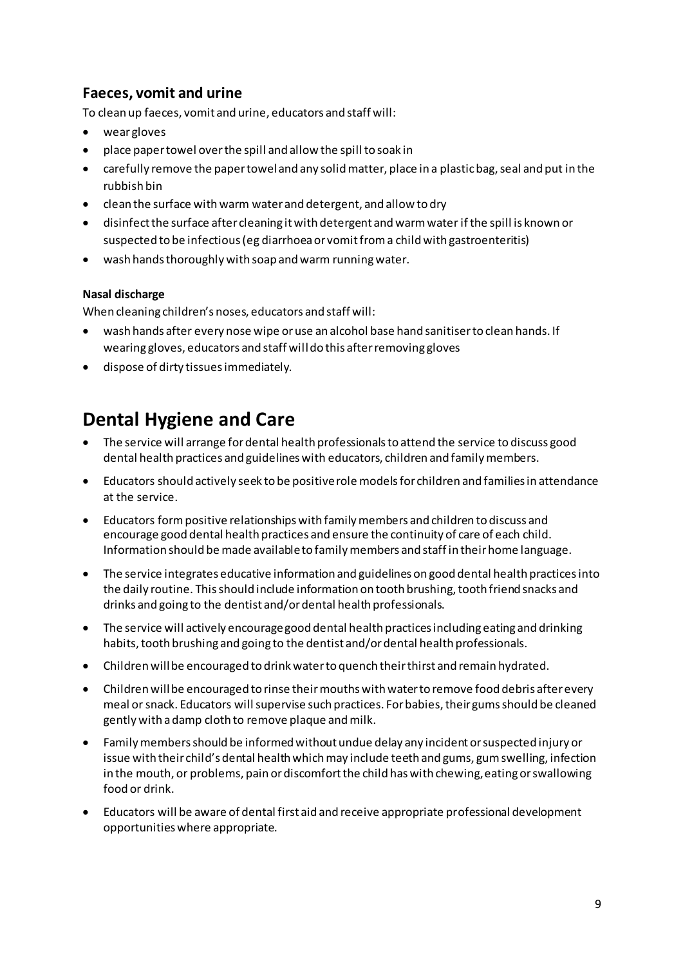### **Faeces, vomit and urine**

To clean up faeces, vomit and urine, educators and staff will:

- wear gloves
- place paper towel over the spill and allow the spill to soak in
- carefully remove the paper towel and any solid matter, place in a plastic bag, seal and put in the rubbish bin
- clean the surface with warm water and detergent, and allow to dry
- disinfect the surface after cleaning it with detergent and warm water if the spill is known or suspected to be infectious (eg diarrhoea or vomit from a child with gastroenteritis)
- wash hands thoroughly with soap and warm running water.

#### **Nasal discharge**

When cleaning children's noses, educators and staff will:

- wash hands after every nose wipe or use an alcohol base hand sanitiser to clean hands. If wearing gloves, educators and staff will do this after removing gloves
- dispose of dirty tissues immediately.

### **Dental Hygiene and Care**

- The service will arrange for dental health professionals to attend the service to discuss good dental health practices and guidelines with educators, children and family members.
- Educators should actively seek to be positive role models for children and families in attendance at the service.
- Educators form positive relationships with family members and children to discuss and encourage good dental health practices and ensure the continuity of care of each child. Information should be made available to family members and staff in their home language.
- The service integrates educative information and guidelines on good dental health practices into the daily routine. This should include information on tooth brushing, tooth friend snacks and drinks and going to the dentist and/or dental health professionals.
- The service will actively encourage good dental health practices including eating and drinking habits, tooth brushing and going to the dentist and/or dental health professionals.
- Children will be encouraged to drink water to quench their thirst and remain hydrated.
- Children will be encouraged to rinse their mouths with water to remove food debris after every meal or snack. Educators will supervise such practices. For babies, their gums should be cleaned gently with a damp cloth to remove plaque and milk.
- Family members should be informed without undue delay any incident or suspected injury or issue with their child's dental health which may include teeth and gums, gum swelling, infection in the mouth, or problems, pain or discomfort the child has with chewing, eating or swallowing food or drink.
- Educators will be aware of dental first aid and receive appropriate professional development opportunities where appropriate.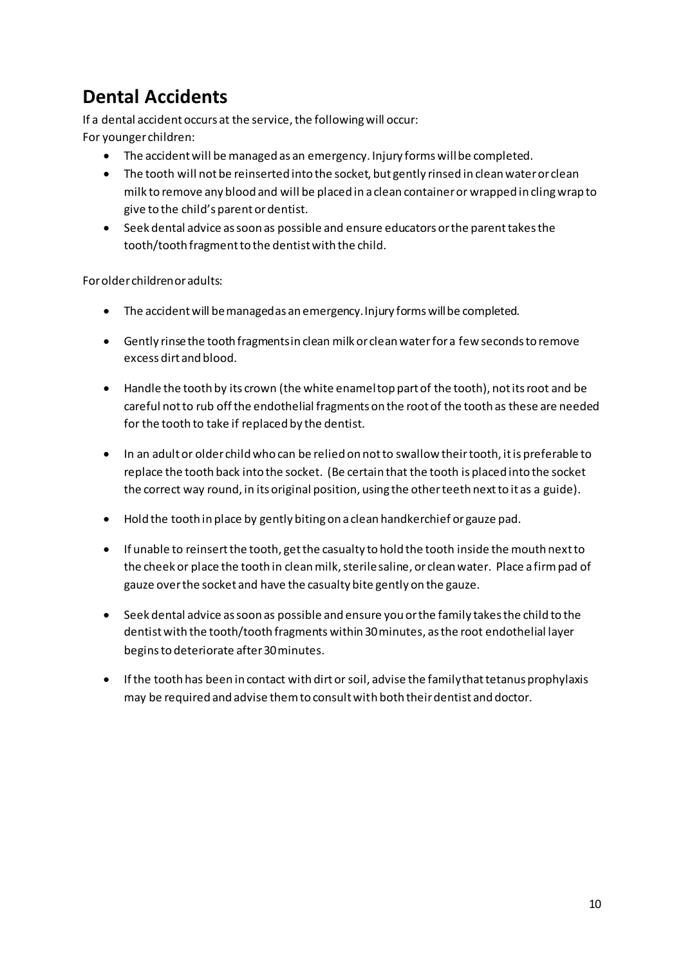## **Dental Accidents**

If a dental accident occurs at the service, the following will occur: For younger children:

- The accident will be managed as an emergency. Injury forms will be completed.
- The tooth will not be reinserted into the socket, but gently rinsed in clean water or clean milk to remove any blood and will be placed in a clean container or wrapped in cling wrap to give to the child's parent or dentist.
- Seek dental advice as soon as possible and ensure educators or the parent takes the tooth/tooth fragment to the dentist with the child.

For older children or adults:

- The accident will be managed as an emergency. Injury forms will be completed.
- Gently rinse the tooth fragments in clean milk or clean water for a few seconds to remove excess dirt and blood.
- Handle the tooth by its crown (the white enamel top part of the tooth), not its root and be careful not to rub off the endothelial fragments on the root of the tooth as these are needed for the tooth to take if replaced by the dentist.
- In an adult or older child who can be relied on not to swallow their tooth, it is preferable to replace the tooth back into the socket. (Be certain that the tooth is placed into the socket the correct way round, in its original position, using the other teeth next to it as a guide).
- Hold the tooth in place by gently biting on a clean handkerchief or gauze pad.
- If unable to reinsert the tooth, get the casualty to hold the tooth inside the mouth next to the cheek or place the tooth in clean milk, sterile saline, or clean water. Place a firm pad of gauze over the socket and have the casualty bite gently on the gauze.
- Seek dental advice as soon as possible and ensure you or the family takes the child to the dentist with the tooth/tooth fragments within 30 minutes, as the root endothelial layer begins to deteriorate after 30 minutes.
- If the tooth has been in contact with dirt or soil, advise the family that tetanus prophylaxis may be required and advise them to consult with both their dentist and doctor.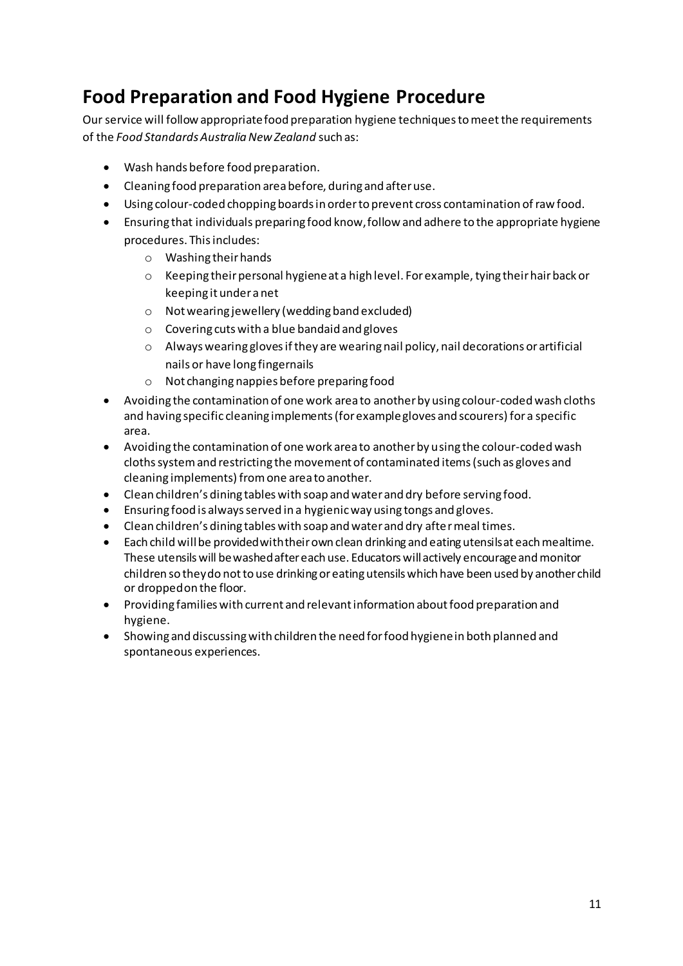### **Food Preparation and Food Hygiene Procedure**

Our service will follow appropriate food preparation hygiene techniques to meet the requirements of the *Food Standards Australia New Zealand* such as:

- Wash hands before food preparation.
- Cleaning food preparation area before, during and after use.
- Using colour-coded chopping boards in order to prevent cross contamination of raw food.
- Ensuring that individuals preparing food know, follow and adhere to the appropriate hygiene procedures. This includes:
	- o Washing their hands
	- o Keeping their personal hygiene at a high level. For example, tying their hair back or keeping it under a net
	- o Not wearing jewellery (wedding band excluded)
	- o Covering cuts with a blue bandaid and gloves
	- o Always wearing gloves if they are wearing nail policy, nail decorations or artificial nails or have long fingernails
	- o Not changing nappies before preparing food
- Avoiding the contamination of one work area to another by using colour-coded wash cloths and having specific cleaning implements (for example gloves and scourers) for a specific area.
- Avoiding the contamination of one work area to another by using the colour-coded wash cloths system and restricting the movement of contaminated items (such as gloves and cleaning implements) from one area to another.
- Clean children's dining tables with soap and water and dry before serving food.
- Ensuring food is always served in a hygienic way using tongs and gloves.
- Clean children's dining tables with soap and water and dry after meal times.
- Each child will be provided with their own clean drinking and eating utensils at each mealtime. These utensils will be washed after each use. Educators will actively encourage and monitor children so they do not to use drinking or eating utensils which have been used by another child or dropped on the floor.
- Providing families with current and relevant information about food preparation and hygiene.
- Showing and discussing with children the need for food hygiene in both planned and spontaneous experiences.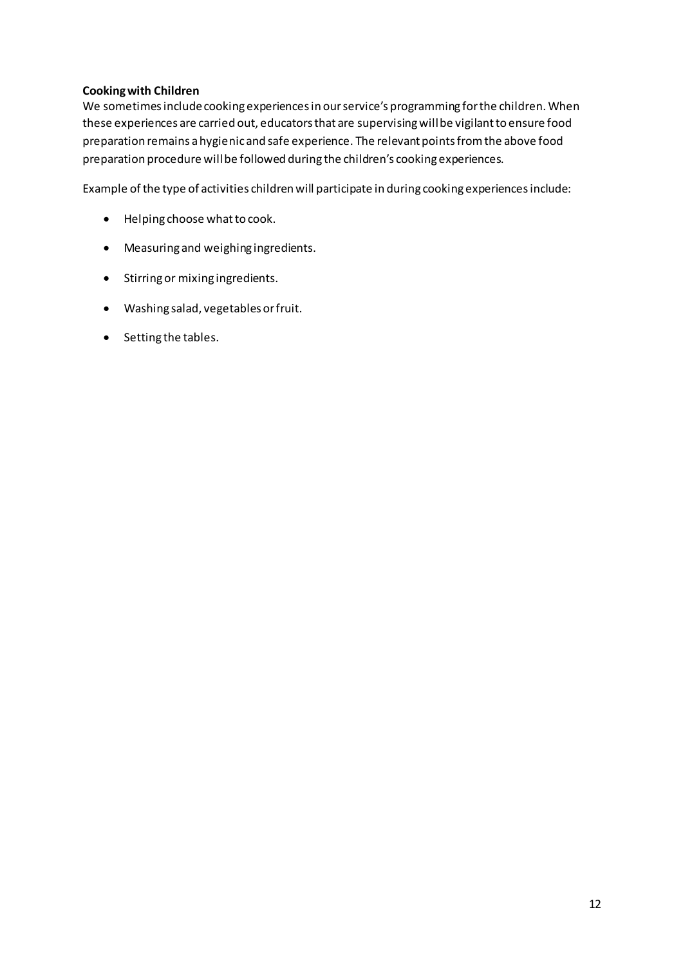#### **Cooking with Children**

We sometimes include cooking experiences in our service's programming for the children. When these experiences are carried out, educators that are supervising will be vigilant to ensure food preparation remains a hygienic and safe experience. The relevant points from the above food preparation procedure will be followed during the children's cooking experiences.

Example of the type of activities children will participate in during cooking experiences include:

- Helping choose what to cook.
- Measuring and weighing ingredients.
- Stirring or mixing ingredients.
- Washing salad, vegetables or fruit.
- Setting the tables.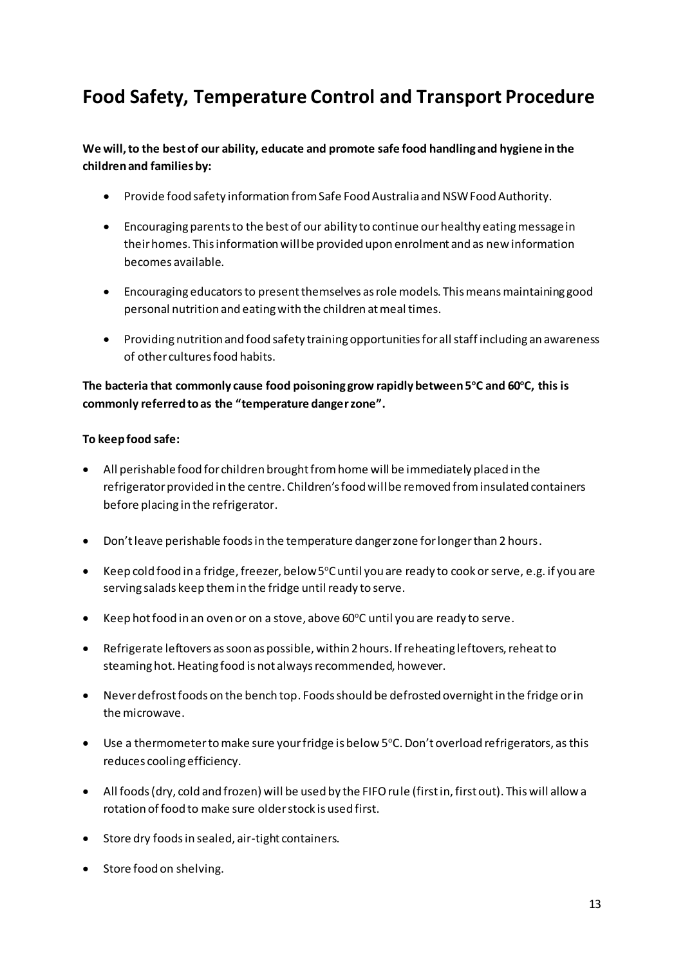### **Food Safety, Temperature Control and Transport Procedure**

### **We will, to the best of our ability, educate and promote safe food handling and hygiene in the children and families by:**

- Provide food safety information from Safe Food Australia and NSW Food Authority.
- Encouraging parents to the best of our ability to continue our healthy eating message in their homes. This information will be provided upon enrolment and as new information becomes available.
- Encouraging educators to present themselves as role models. This means maintaining good personal nutrition and eating with the children at meal times.
- Providing nutrition and food safety training opportunities for all staff including an awareness of other cultures food habits.

### **The bacteria that commonly cause food poisoning grow rapidly between 5<sup>o</sup>C and 60<sup>o</sup>C, this is**  commonly referred to as the "temperature danger zone".

#### **To keep food safe:**

- All perishable food for children brought from home will be immediately placed in the refrigerator provided in the centre. Children's food will be removed from insulated containers before placing in the refrigerator.
- Don't leave perishable foods in the temperature danger zone for longer than 2 hours.
- Keep cold food in a fridge, freezer, below 5°C until you are ready to cook or serve, e.g. if you are serving salads keep them in the fridge until ready to serve.
- Keep hot food in an oven or on a stove, above 60°C until you are ready to serve.
- Refrigerate leftovers as soon as possible, within 2 hours. If reheating leftovers, reheat to steaming hot. Heating food is not always recommended, however.
- Never defrost foods on the bench top. Foods should be defrosted overnight in the fridge or in the microwave.
- Use a thermometer to make sure your fridge is below  $5^{\circ}$ C. Don't overload refrigerators, as this reduces cooling efficiency.
- All foods (dry, cold and frozen) will be used by the FIFO rule (first in, first out). This will allow a rotation of food to make sure older stock is used first.
- Store dry foods in sealed, air-tight containers.
- Store food on shelving.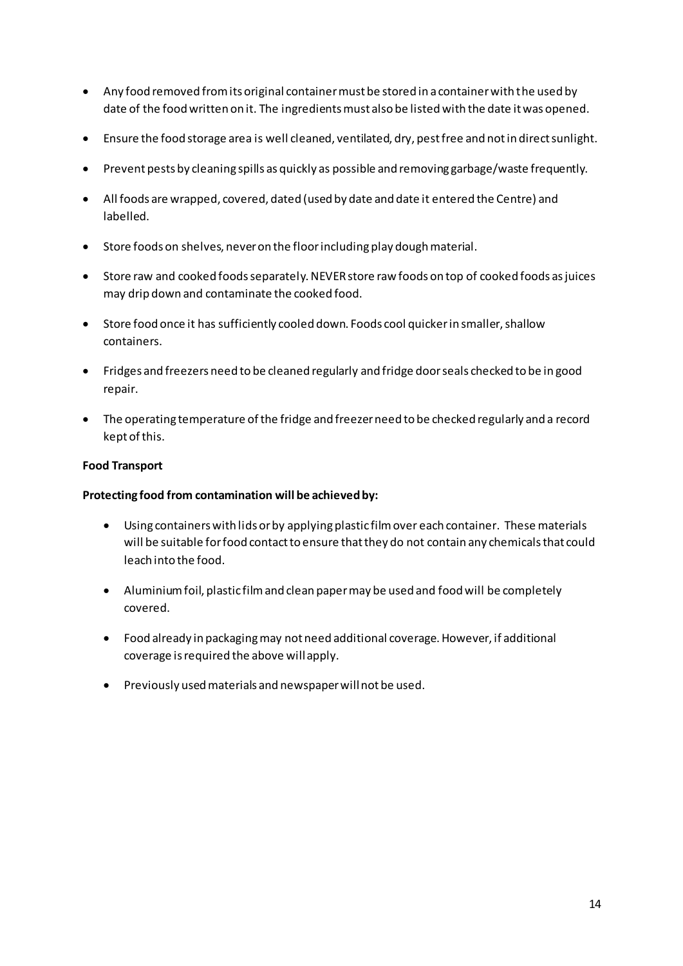- Any food removed from its original container must be stored in a container with the used by date of the food written on it. The ingredients must also be listed with the date it was opened.
- Ensure the food storage area is well cleaned, ventilated, dry, pest free and not in direct sunlight.
- Prevent pests by cleaning spills as quickly as possible and removing garbage/waste frequently.
- All foods are wrapped, covered, dated (used by date and date it entered the Centre) and labelled.
- Store foods on shelves, never on the floor including play dough material.
- Store raw and cooked foods separately. NEVER store raw foods on top of cooked foods as juices may drip down and contaminate the cooked food.
- Store food once it has sufficiently cooled down. Foods cool quicker in smaller, shallow containers.
- Fridges and freezers need to be cleaned regularly and fridge door seals checked to be in good repair.
- The operating temperature of the fridge and freezer need to be checked regularly and a record kept of this.

#### **Food Transport**

#### **Protecting food from contamination will be achieved by:**

- Using containers with lids or by applying plastic film over each container. These materials will be suitable for food contact to ensure that they do not contain any chemicals that could leach into the food.
- Aluminium foil, plastic film and clean paper may be used and food will be completely covered.
- Food already in packaging may not need additional coverage. However, if additional coverage is required the above will apply.
- Previously used materials and newspaper will not be used.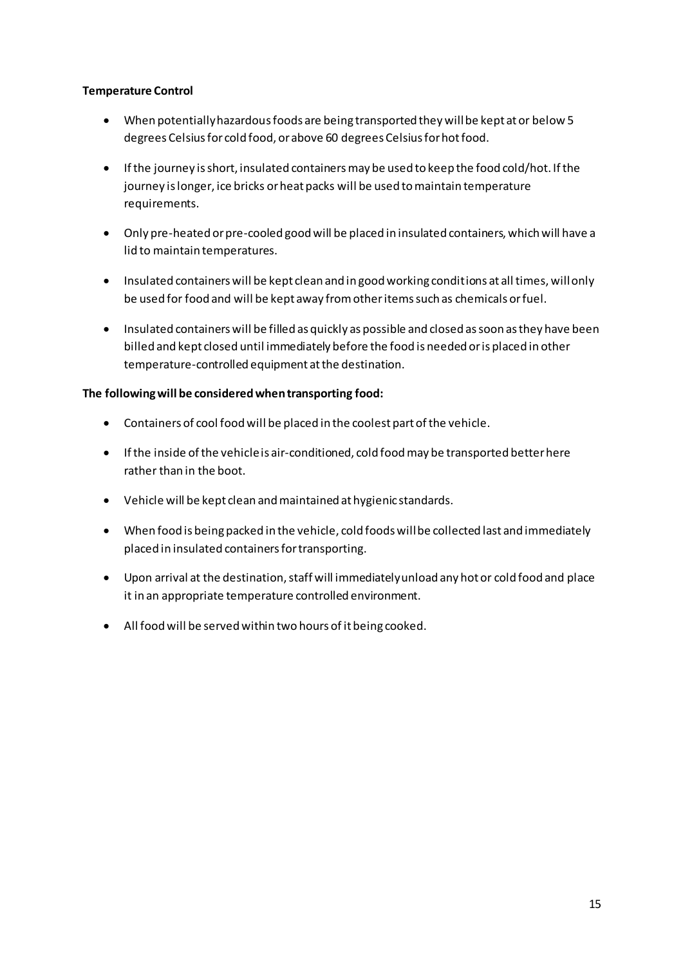#### **Temperature Control**

- When potentially hazardous foods are being transported they will be kept at or below 5 degrees Celsius for cold food, or above 60 degrees Celsius for hot food.
- If the journey is short, insulated containers may be used to keep the food cold/hot. If the journey is longer, ice bricks or heat packs will be used to maintain temperature requirements.
- Only pre-heated or pre-cooled good will be placed in insulated containers, which will have a lid to maintain temperatures.
- Insulated containers will be kept clean and in good working conditions at all times, will only be used for food and will be kept away from other items such as chemicals or fuel.
- Insulated containers will be filled as quickly as possible and closed as soon as they have been billed and kept closed until immediately before the food is needed or is placed in other temperature-controlled equipment at the destination.

#### **The following will be considered when transporting food:**

- Containers of cool food will be placed in the coolest part of the vehicle.
- If the inside of the vehicle is air-conditioned, cold food may be transported better here rather than in the boot.
- Vehicle will be kept clean and maintained at hygienic standards.
- When food is being packed in the vehicle, cold foods will be collected last and immediately placed in insulated containers for transporting.
- Upon arrival at the destination, staff will immediately unload any hot or cold food and place it in an appropriate temperature controlled environment.
- All food will be served within two hours of it being cooked.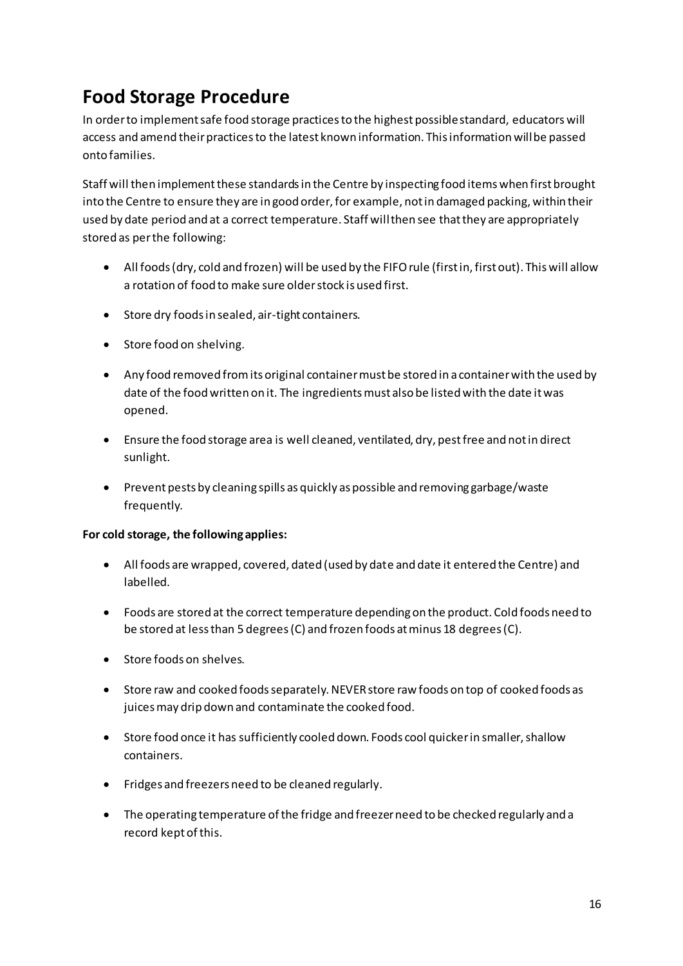### **Food Storage Procedure**

In order to implement safe food storage practices to the highest possible standard, educators will access and amend their practices to the latest known information. This information will be passed onto families.

Staff will then implement these standards in the Centre by inspecting food items when first brought into the Centre to ensure they are in good order, for example, not in damaged packing, within their used by date period and at a correct temperature. Staff will then see that they are appropriately stored as per the following:

- All foods (dry, cold and frozen) will be used by the FIFO rule (first in, first out). This will allow a rotation of food to make sure older stock is used first.
- Store dry foods in sealed, air-tight containers.
- Store food on shelving.
- Any food removed from its original container must be stored in a container with the used by date of the food written on it. The ingredients must also be listed with the date it was opened.
- Ensure the food storage area is well cleaned, ventilated, dry, pest free and not in direct sunlight.
- Prevent pests by cleaning spills as quickly as possible and removing garbage/waste frequently.

### **For cold storage, the following applies:**

- All foods are wrapped, covered, dated (used by date and date it entered the Centre) and labelled.
- Foods are stored at the correct temperature depending on the product. Cold foods need to be stored at less than 5 degrees (C) and frozen foods at minus 18 degrees (C).
- Store foods on shelves.
- Store raw and cooked foods separately. NEVER store raw foods on top of cooked foods as juices may drip down and contaminate the cooked food.
- Store food once it has sufficiently cooled down. Foods cool quicker in smaller, shallow containers.
- Fridges and freezers need to be cleaned regularly.
- The operating temperature of the fridge and freezer need to be checked regularly and a record kept of this.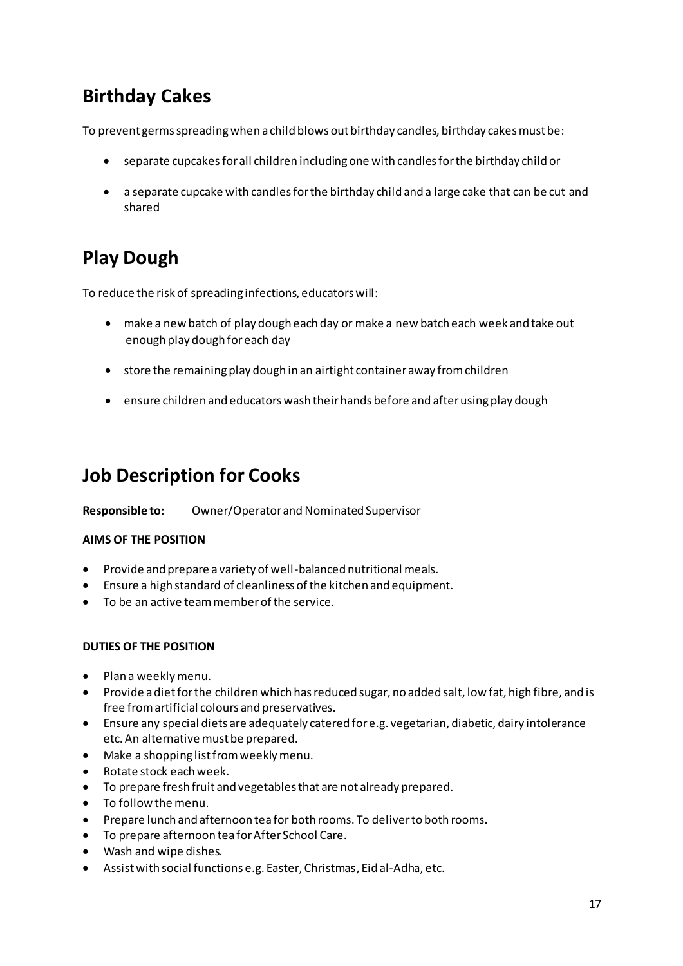## **Birthday Cakes**

To prevent germs spreading when a child blows out birthday candles, birthday cakes must be:

- separate cupcakes for all children including one with candles for the birthday child or
- a separate cupcake with candles for the birthday child and a large cake that can be cut and shared

## **Play Dough**

To reduce the risk of spreading infections, educators will:

- make a new batch of play dough each day or make a new batch each week and take out enough play dough for each day
- store the remaining play dough in an airtight container away from children
- ensure children and educators wash their hands before and after using play dough

### **Job Description for Cooks**

**Responsible to:** Owner/Operator and Nominated Supervisor

### **AIMS OF THE POSITION**

- Provide and prepare a variety of well-balanced nutritional meals.
- Ensure a high standard of cleanliness of the kitchen and equipment.
- To be an active team member of the service.

### **DUTIES OF THE POSITION**

- Plan a weekly menu.
- Provide a diet for the children which has reduced sugar, no added salt, low fat, high fibre, and is free from artificial colours and preservatives.
- Ensure any special diets are adequately catered for e.g. vegetarian, diabetic, dairy intolerance etc. An alternative must be prepared.
- Make a shopping list from weekly menu.
- Rotate stock each week.
- To prepare fresh fruit and vegetables that are not already prepared.
- To follow the menu.
- Prepare lunch and afternoon tea for both rooms. To deliver to both rooms.
- To prepare afternoon tea for After School Care.
- Wash and wipe dishes.
- Assist with social functions e.g. Easter, Christmas, Eid al-Adha, etc.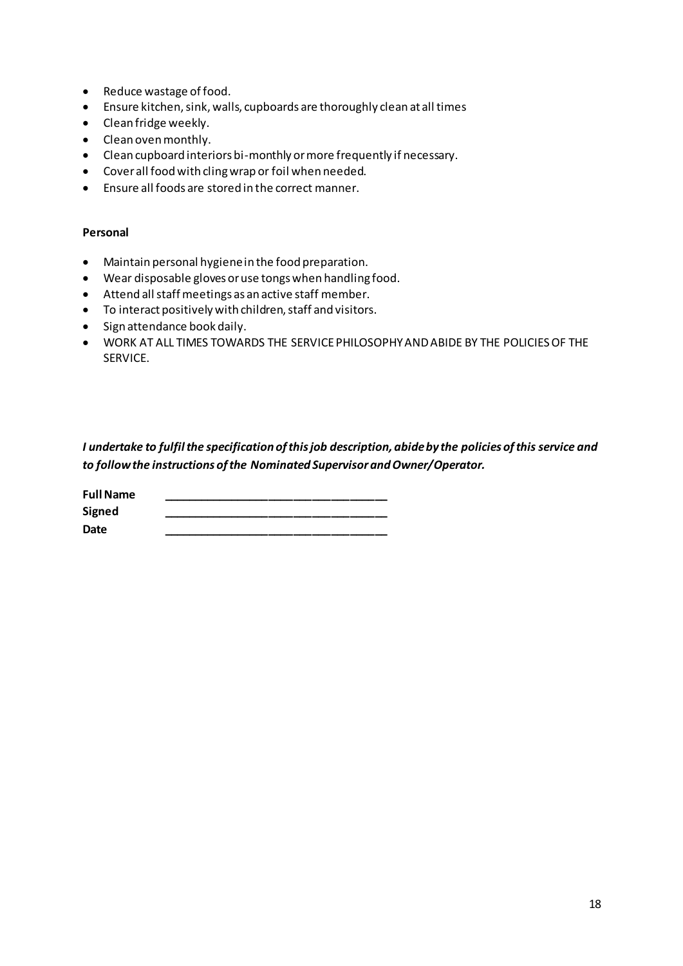- Reduce wastage of food.
- Ensure kitchen, sink, walls, cupboards are thoroughly clean at all times
- Clean fridge weekly.
- Clean oven monthly.
- Clean cupboard interiors bi-monthly or more frequently if necessary.
- Cover all food with cling wrap or foil when needed.
- Ensure all foods are stored in the correct manner.

#### **Personal**

- Maintain personal hygiene in the food preparation.
- Wear disposable gloves or use tongs when handling food.
- Attend all staff meetings as an active staff member.
- To interact positively with children, staff and visitors.
- Sign attendance book daily.
- WORK AT ALL TIMES TOWARDS THE SERVICE PHILOSOPHY AND ABIDE BY THE POLICIES OF THE SERVICE.

*I undertake to fulfil the specification of this job description, abide by the policies of this service and to follow the instructions of the Nominated Supervisor and Owner/Operator.* 

| <b>Full Name</b> |  |  |
|------------------|--|--|
| <b>Signed</b>    |  |  |
| Date             |  |  |